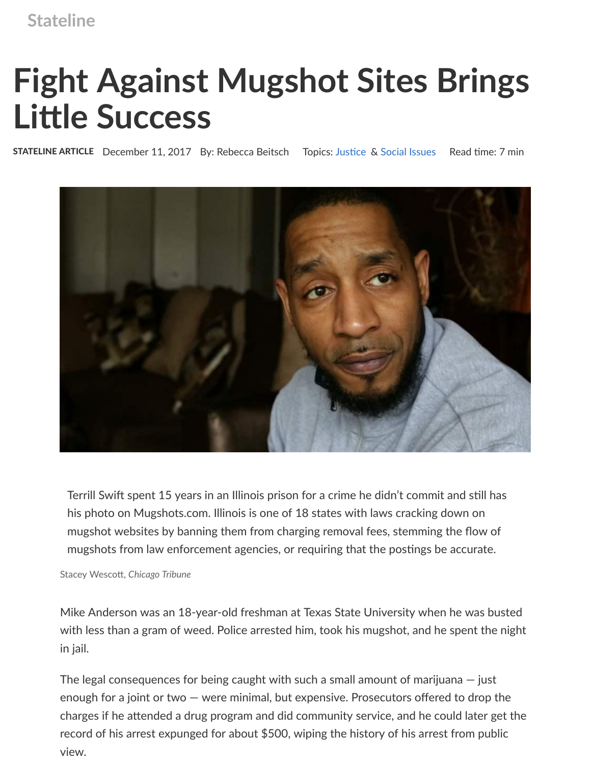# **Fight Against Mugshot Sites Brings Little Success**

STATELINE ARTICLE December 11, 2017 By: Rebecca Beitsch Topics: Justice & Social [Issues](https://www.pewtrusts.org/en/search?topic=Social%20Issues) Read time: 7 min



Terrill Swift spent 15 years in an Illinois prison for a crime he didn't commit and still has his photo on Mugshots.com. Illinois is one of 18 states with laws cracking down on mugshot websites by banning them from charging removal fees, stemming the flow of mugshots from law enforcement agencies, or requiring that the postings be accurate.

Stacey Wescott, Chicago Tribune

Mike Anderson was an 18-year-old freshman at Texas State University when he was busted with less than a gram of weed. Police arrested him, took his mugshot, and he spent the night in jail.

The legal consequences for being caught with such a small amount of marijuana — just enough for a joint or two — were minimal, but expensive. Prosecutors offered to drop the charges if he attended a drug program and did community service, and he could later get the record of his arrest expunged for about \$500, wiping the history of his arrest from public view.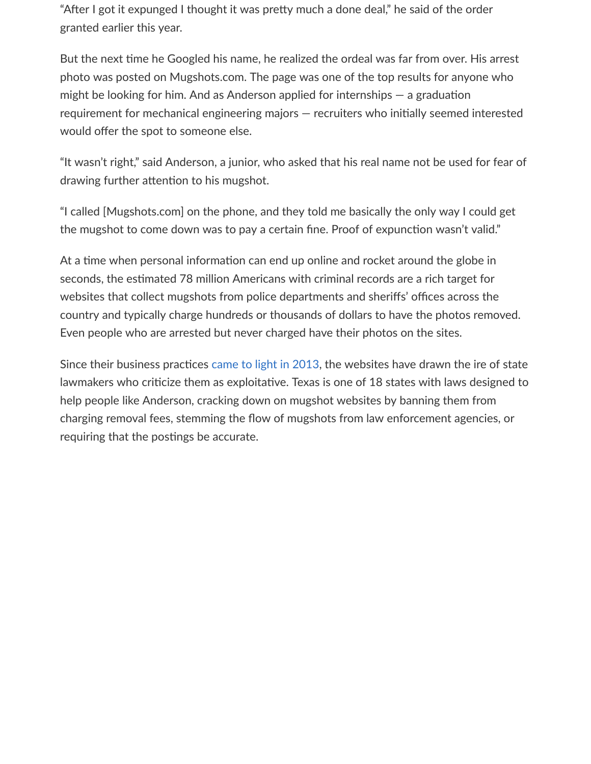"After I got it expunged I thought it was pretty much a done deal," he said of the order granted earlier this year.

But the next time he Googled his name, he realized the ordeal was far from over. His arrest photo was posted on Mugshots.com. The page was one of the top results for anyone who might be looking for him. And as Anderson applied for internships  $-$  a graduation  $requirement$  for mechanical engineering majors  $-$  recruiters who initially seemed interested would offer the spot to someone else.

"It wasn't right," said Anderson, a junior, who asked that his real name not be used for fear of drawing further attention to his mugshot.

"I called [Mugshots.com] on the phone, and they told me basically the only way I could get the mugshot to come down was to pay a certain fine. Proof of expunction wasn't valid."

At a time when personal information can end up online and rocket around the globe in seconds, the estimated 78 million Americans with criminal records are a rich target for websites that collect mugshots from police departments and sheriffs' offices across the country and typically charge hundreds or thousands of dollars to have the photos removed. Even people who are arrested but never charged have their photos on the sites.

Since their business practices came to light in [2013,](http://www.nytimes.com/2013/10/06/business/mugged-by-a-mug-shot-online.html) the websites have drawn the ire of state lawmakers who criticize them as exploitative. Texas is one of 18 states with laws designed to help people like Anderson, cracking down on mugshot websites by banning them from charging removal fees, stemming the flow of mugshots from law enforcement agencies, or requiring that the postings be accurate.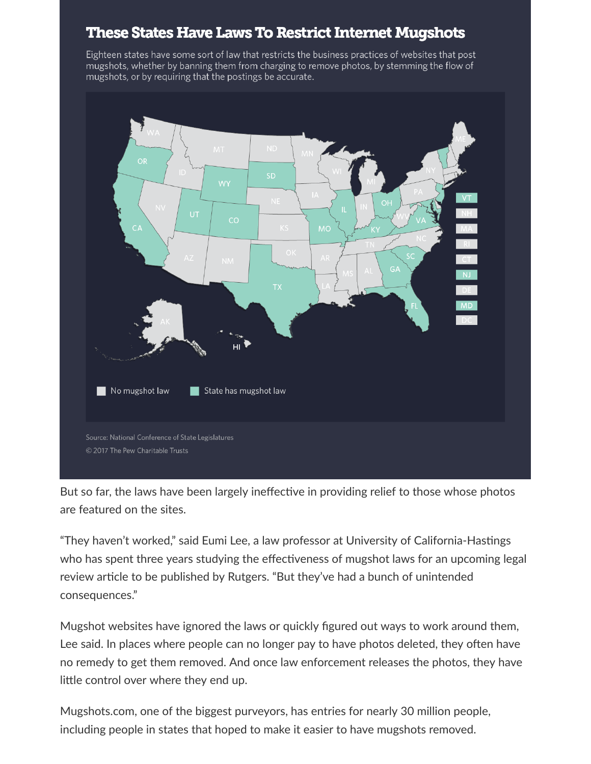## **These States Have Laws To Restrict Internet Mugshots**

Eighteen states have some sort of law that restricts the business practices of websites that post mugshots, whether by banning them from charging to remove photos, by stemming the flow of mugshots, or by requiring that the postings be accurate.



But so far, the laws have been largely ineffective in providing relief to those whose photos are featured on the sites.

"They haven't worked," said Eumi Lee, a law professor at University of California-Hastings who has spent three years studying the effectiveness of mugshot laws for an upcoming legal review article to be published by Rutgers. "But they've had a bunch of unintended consequences."

Mugshot websites have ignored the laws or quickly figured out ways to work around them, Lee said. In places where people can no longer pay to have photos deleted, they often have no remedy to get them removed. And once law enforcement releases the photos, they have little control over where they end up.

Mugshots.com, one of the biggest purveyors, has entries for nearly 30 million people, including people in states that hoped to make it easier to have mugshots removed.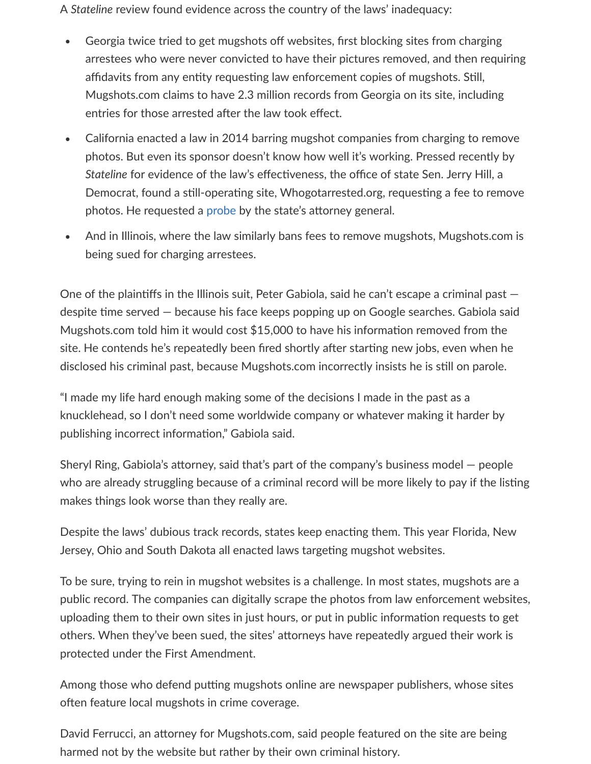A *Stateline* review found evidence across the country of the laws' inadequacy:

- $\bullet$ Georgia twice tried to get mugshots off websites, first blocking sites from charging arrestees who were never convicted to have their pictures removed, and then requiring affidavits from any entity requesting law enforcement copies of mugshots. Still, Mugshots.com claims to have 2.3 million records from Georgia on its site, including entries for those arrested after the law took effect.
- California enacted a law in 2014 barring mugshot companies from charging to remove  $\bullet$ photos. But even its sponsor doesn't know how well it's working. Pressed recently by *Stateline* for evidence of the law's effectiveness, the office of state Sen. Jerry Hill, a Democrat, found a still-operating site, Whogotarrested.org, requesting a fee to remove photos. He requested a [probe](https://www.pewtrusts.org/-/media/assets/2017/12/11-9-17_senhill_to_agbecerra.pdf) by the state's attorney general.
- And in Illinois, where the law similarly bans fees to remove mugshots, Mugshots.com is  $\bullet$ being sued for charging arrestees.

One of the plaintiffs in the Illinois suit, Peter Gabiola, said he can't escape a criminal past  $$ despite time served — because his face keeps popping up on Google searches. Gabiola said Mugshots.com told him it would cost  $$15,000$  to have his information removed from the site. He contends he's repeatedly been fired shortly after starting new jobs, even when he disclosed his criminal past, because Mugshots.com incorrectly insists he is still on parole.

"I made my life hard enough making some of the decisions I made in the past as a knucklehead, so I don't need some worldwide company or whatever making it harder by publishing incorrect information," Gabiola said.

Sheryl Ring, Gabiola's attorney, said that's part of the company's business model  $-$  people who are already struggling because of a criminal record will be more likely to pay if the listing makes things look worse than they really are.

Despite the laws' dubious track records, states keep enacting them. This year Florida, New Jersey, Ohio and South Dakota all enacted laws targeting mugshot websites.

To be sure, trying to rein in mugshot websites is a challenge. In most states, mugshots are a public record. The companies can digitally scrape the photos from law enforcement websites, uploading them to their own sites in just hours, or put in public information requests to get others. When they've been sued, the sites' attorneys have repeatedly argued their work is protected under the First Amendment.

Among those who defend putting mugshots online are newspaper publishers, whose sites often feature local mugshots in crime coverage.

David Ferrucci, an attorney for Mugshots.com, said people featured on the site are being harmed not by the website but rather by their own criminal history.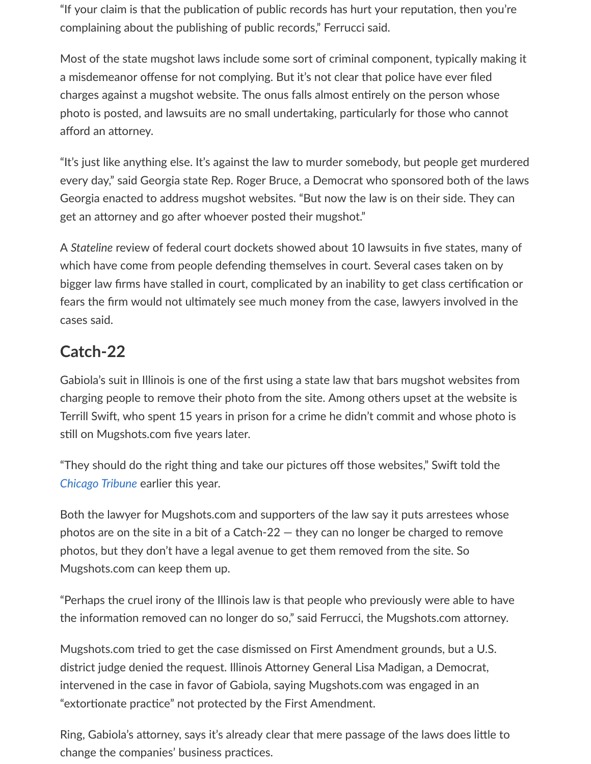"If your claim is that the publication of public records has hurt your reputation, then you're complaining about the publishing of public records," Ferrucci said.

Most of the state mugshot laws include some sort of criminal component, typically making it a misdemeanor offense for not complying. But it's not clear that police have ever filed charges against a mugshot website. The onus falls almost entirely on the person whose photo is posted, and lawsuits are no small undertaking, particularly for those who cannot afford an attorney.

"It's just like anything else. It's against the law to murder somebody, but people get murdered every day," said Georgia state Rep. Roger Bruce, a Democrat who sponsored both of the laws Georgia enacted to address mugshot websites. "But now the law is on their side. They can get an attorney and go after whoever posted their mugshot."

A *Stateline* review of federal court dockets showed about 10 lawsuits in five states, many of which have come from people defending themselves in court. Several cases taken on by bigger law firms have stalled in court, complicated by an inability to get class certification or fears the firm would not ultimately see much money from the case, lawyers involved in the cases said.

## **Catch-22**

Gabiola's suit in Illinois is one of the first using a state law that bars mugshot websites from charging people to remove their photo from the site. Among others upset at the website is Terrill Swift, who spent 15 years in prison for a crime he didn't commit and whose photo is still on Mugshots.com five years later.

"They should do the right thing and take our pictures off those websites," Swift told the *[Chicago](http://www.chicagotribune.com/business/ct-mug-shot-websites-0312-biz-20170310-story.html) Tribune* earlier this year.

Both the lawyer for Mugshots.com and supporters of the law say it puts arrestees whose photos are on the site in a bit of a Catch-22 — they can no longer be charged to remove photos, but they don't have a legal avenue to get them removed from the site. So Mugshots.com can keep them up.

"Perhaps the cruel irony of the Illinois law is that people who previously were able to have the information removed can no longer do so," said Ferrucci, the Mugshots.com attorney.

Mugshots.com tried to get the case dismissed on First Amendment grounds, but a U.S. district judge denied the request. Illinois Attorney General Lisa Madigan, a Democrat, intervened in the case in favor of Gabiola, saying Mugshots.com was engaged in an "extortionate practice" not protected by the First Amendment.

Ring, Gabiola's attorney, says it's already clear that mere passage of the laws does little to change the companies' business practices.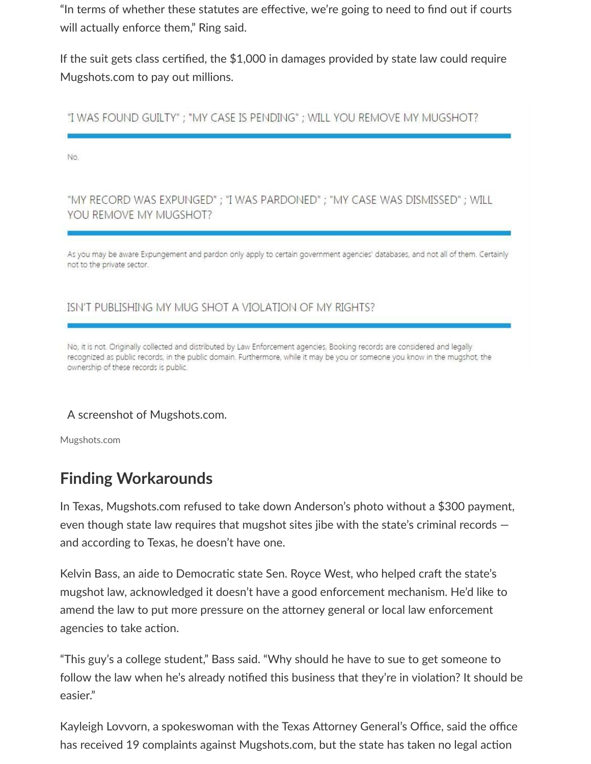"In terms of whether these statutes are effective, we're going to need to find out if courts will actually enforce them," Ring said.

If the suit gets class certified, the \$1,000 in damages provided by state law could require Mugshots.com to pay out millions.

"I WAS FOUND GUILTY"; "MY CASE IS PENDING"; WILL YOU REMOVE MY MUGSHOT?

**No** 

#### "MY RECORD WAS EXPUNGED" ; "I WAS PARDONED" ; "MY CASE WAS DISMISSED" ; WILL YOU REMOVE MY MUGSHOT?

As you may be aware Expungement and pardon only apply to certain government agencies' databases, and not all of them. Certainly not to the private sector.

#### ISN'T PUBLISHING MY MUG SHOT A VIOLATION OF MY RIGHTS?

No, it is not. Originally collected and distributed by Law Enforcement agencies, Booking records are considered and legally recognized as public records, in the public domain. Furthermore, while it may be you or someone you know in the mugshot, the ownership of these records is public.

#### A screenshot of Mugshots.com.

Mugshots.com

## **Finding Workarounds**

In Texas, Mugshots.com refused to take down Anderson's photo without a \$300 payment, even though state law requires that mugshot sites jibe with the state's criminal records and according to Texas, he doesn't have one.

Kelvin Bass, an aide to Democratic state Sen. Royce West, who helped craft the state's mugshot law, acknowledged it doesn't have a good enforcement mechanism. He'd like to amend the law to put more pressure on the attorney general or local law enforcement agencies to take action.

"This guy's a college student," Bass said. "Why should he have to sue to get someone to follow the law when he's already notified this business that they're in violation? It should be easier."

Kayleigh Lovvorn, a spokeswoman with the Texas Attorney General's Office, said the office has received 19 complaints against Mugshots.com, but the state has taken no legal action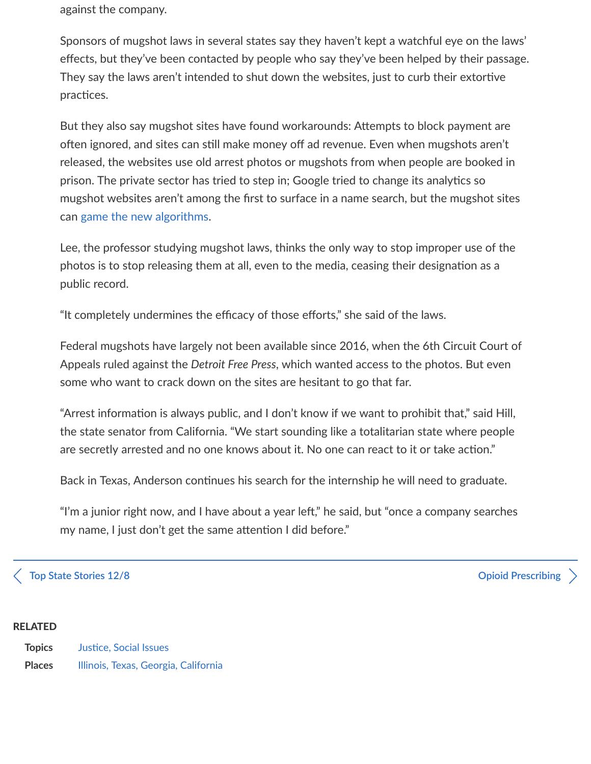against the company.

Sponsors of mugshot laws in several states say they haven't kept a watchful eye on the laws' effects, but they've been contacted by people who say they've been helped by their passage. They say the laws aren't intended to shut down the websites, just to curb their extortive practices.

But they also say mugshot sites have found workarounds: Attempts to block payment are often ignored, and sites can still make money off ad revenue. Even when mugshots aren't released, the websites use old arrest photos or mugshots from when people are booked in prison. The private sector has tried to step in; Google tried to change its analytics so mugshot websites aren't among the first to surface in a name search, but the mugshot sites can game the new [algorithms](https://www.nytimes.com/2017/02/11/your-money/haggler-trying-to-minimize-the-misery-of-mug-shots.html).

Lee, the professor studying mugshot laws, thinks the only way to stop improper use of the photos is to stop releasing them at all, even to the media, ceasing their designation as a public record.

"It completely undermines the efficacy of those efforts," she said of the laws.

Federal mugshots have largely not been available since 2016, when the 6th Circuit Court of Appeals ruled against the *Detroit Free Press*, which wanted access to the photos. But even some who want to crack down on the sites are hesitant to go that far.

"Arrest information is always public, and I don't know if we want to prohibit that," said Hill, the state senator from California. "We start sounding like a totalitarian state where people are secretly arrested and no one knows about it. No one can react to it or take action."

Back in Texas, Anderson continues his search for the internship he will need to graduate.

"I'm a junior right now, and I have about a year left," he said, but "once a company searches my name, I just don't get the same attention I did before."

**[T](https://www.pewtrusts.org/en/research-and-analysis/blogs/stateline/2017/12/08/what-were-reading-top-state-stories)op State [Stories](https://www.pewtrusts.org/en/research-and-analysis/blogs/stateline/2017/12/08/what-were-reading-top-state-stories) 12/8 Opioid [Prescribing](https://www.pewtrusts.org/en/research-and-analysis/blogs/stateline/2017/12/08/arkansas-adopts-limits-on-opioid-prescribing)**

#### RELATED

**Topics** Justice, Social [Issues](https://www.pewtrusts.org/en/search?topic=Social%20Issues) **Places** [Illinois,](https://www.pewtrusts.org/en/search?places=North%20America|United%20States|Illinois) [Texas,](https://www.pewtrusts.org/en/search?places=North%20America|United%20States|Texas) [Georgia,](https://www.pewtrusts.org/en/search?places=North%20America|United%20States|Georgia) [California](https://www.pewtrusts.org/en/search?places=North%20America|United%20States|California)